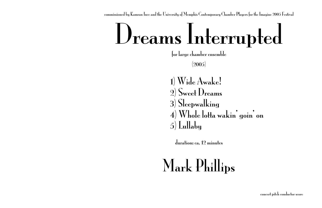commissioned by Kamran Ince and the University of Memphis Contemporary Chamber Players for the Imagine 2005 Festival

1) Wide Awake! 2) Sweet Dreams 3) Sleepwalking 4) Whole lotta wakin' goin' on  $5)$  Lullaby

# Dreams Interrupted

for large chamber ensemble

(2005)

duration: ca. 12 minutes

Mark Phillips

concert pitch conductor score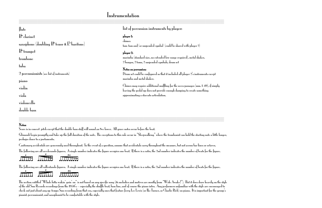# **Instrumentation**

| flute                                                                                 | list of percussion instruments by player:                                                                                                                                                                    |
|---------------------------------------------------------------------------------------|--------------------------------------------------------------------------------------------------------------------------------------------------------------------------------------------------------------|
| $B^{\flat}$ clarinet<br>saxophone (doubling $B^{\flat}$ tenor & $E^{\flat}$ baritone) | player 1:<br>chimes<br>$\tan$ - $\tan$ and/or suspended cymbal (could be shared with player 2)                                                                                                               |
| $B^{\flat}$ trumpet<br>trombone                                                       | plane 2:<br>marimba (standard size, no extended low range required), metal shaker,<br>2 bongos, 2 toms, 2 suspended cymbals, drum set                                                                        |
| tuba<br>2 percussionists (see list of instruments)<br>piano                           | Notes on percussion:<br>Drum set could be configured so that it included all player 2's instruments except<br>marimba and metal shaker.                                                                      |
| violin<br>viola                                                                       | Chimes may require additional muffling for the secco passages (mm. $1-49$ ), if simply<br>leaving the pedal up does not provide enough damping to create something<br>approximating a staccato articulation. |
| violoncello<br>double bass                                                            |                                                                                                                                                                                                              |

# ======================================================== Notes:

Score is in concert pitch except that the double bass staff will sound an 8ve lower. All grace notes occur before the beat.

Glissandi begin promptly and take up the full duration of the note. The exceptions to this rule occur in "Sleepwalking" where the trombonist can hold the starting note a little longer, perhaps closer to a portamento.

Cautionary accidentals are generously used throughout. In the event of a question, assume that accidentals carry throughout the measure, but not across bar lines or octaves. The following are all accelerando figures. A single number indicates the figure occupies one beat. If there is a ratio, the 2nd number indicates the number of beats for the figure.

## MO. 历历形 **JJJJJJ**

The following are all rallentando figures. A single number indicates the figure occupies one beat. If there is a ratio, the 2nd number indicates the number of beats for the figure.



The section entitled "Whole lotta wakin' goin' on" is not based on any specific song (its melodies and motives are mostly from "Wide Awake!"). But it does draw heavily on the style of the old Sun Records recordings from the 1950's — especially the shuffle beat, bass line, and of course the piano intro. Any performers unfamiliar with the style are encouraged to check out just about any up-tempo Sun recording from that era, especially ones that feature Jerry Lee Lewis (or Ike Turner, or Charlie Rich) on piano. It is important for the group's pianist, percussionist, and saxophonist to be comfortable with the style.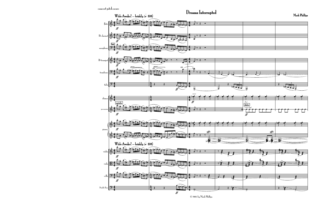

© 2005 by Mark Phillips

concert pitch score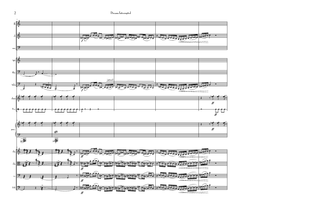

 $\begin{minipage}{.4\linewidth} \hspace*{-0.2cm} {\bf{D}reams\textcolor{red}{\bf{Interrupted}}} \end{minipage}$ 

 $\overline{2}$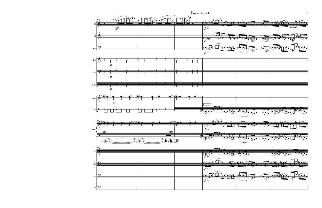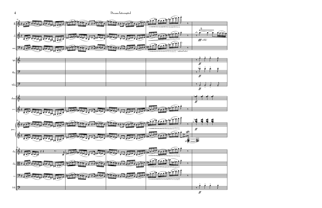

 $\overline{4}$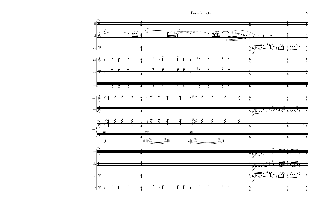Dreams Interrupted 5

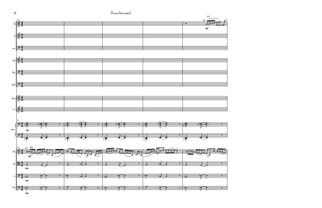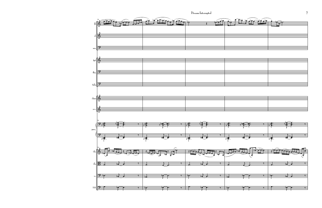Dreams Interrupted 7

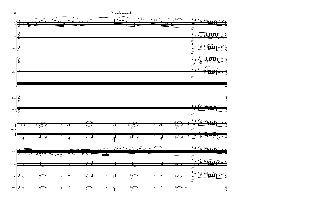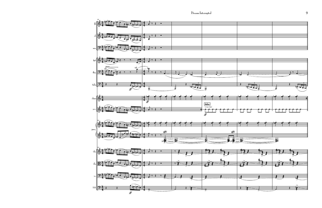Dreams Interrupted

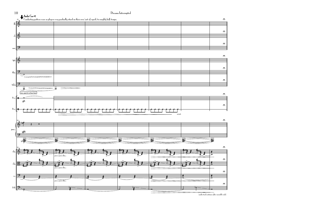10



 $\pmod{3}$  and the continues after ensemble ends)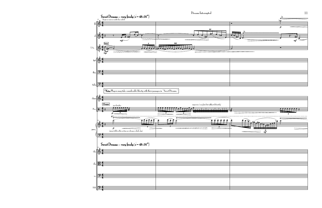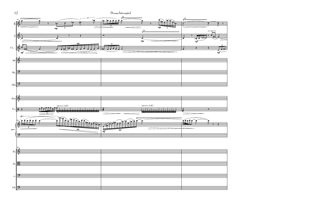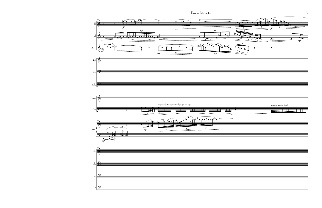Dreams Interrupted 13

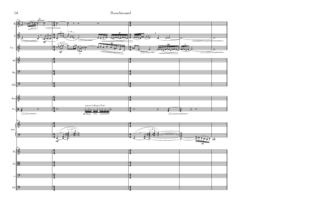14 Dreams Interrupted $\overline{P}$  $\overbrace{p}^{\phantom{p}}$ ł. 6 4 œ  $\begin{array}{|c|c|c|c|c|}\hline \textbf{0} & \textbf{0} & \textbf{0} \end{array}$  $\frac{1}{\sqrt{2}}$   $\frac{1}{\sqrt{2}}$   $\frac{1}{\sqrt{2}}$   $\frac{1}{\sqrt{2}}$  $\big\downarrow$  ,  $\epsilon$ fl.  $\Phi$ 4 4 5 , 3 3  $\mathbf{h}$ 10 6 4  $\frac{3}{7}$  $\frac{1}{9}$  $\mathcal{L}_{\text{m}}$ &  $\overline{\phantom{a}}$  $\Box$ cl. œ œ œœœ œ œœœ œ œbœ œ œ #œ nœ bœ œ 4 4  $e$   $\overrightarrow{e}$  $\overline{\mathbf{e}}$  $\overline{\mathbf{e}}$ œ œ bœ nœ bœ  $\ddot{\cdot}$  $\vec{m}$ 3 8:2  $\widehat{e}$ 12:2 œ œ k 5 6  $\bigcap$  $\frac{1}{2}$ 4 œ œ T. Sx. ‰  $\frac{1}{2}$  $\pmb{\Phi}$ œ œ œ œ œ œ œ œ œ œ œ œ œ œ œ œ ˙. 4 4 œ w .  $m\ddot{f}$ 3 6 4 tpt.  $\Phi$ 4 4 6 4 tbn.  $\blacktriangleright$ 4 4 tuba <sup>1</sup> 6 4 4 4 6 4 & chms 4 4 Ó. improvise (with gaps; 2 beats) Œ 6 4 ˙  $\overline{c}$ œ <sup>æ</sup> <sup>Ó</sup>  $\leftarrow$  $\mathbf{P}_{\text{erc.}}$   $\boxed{\blacksquare}$ 4 4 æ p  $\Leftarrow$  $\lt$ 66 6 4 & 4 4 pno.  $-3$ .<br>N  $\int_{0}^{3}$ œ  $\frac{1}{2}$ œ œ  $\frac{1}{2}$ œ o<br>P 6 3 .<br>N œ g# œ œ  $\frac{8}{10}$ 4 3 j e<br>E œ œ ˙ o<br>R g g  $\frac{1}{2}$ œ <u>ds 28</u><br>. œ  $\frac{9}{2}$ 2 g g œ ˙ œ ˙ œ 4 4 œ œ  $\frac{2}{5}$ œ œ ˙ ˙ . .  $\frac{\text{meV}}{\text{meV}}$  $b\bar{a}$  $m<sub>i</sub>$ 6:2 66 6 4 vln. & 4 4 6 4 B  $\mathbf{v}$ . 4 4 6 4  $\blacktriangleright$ vc. 4 4  $_{\rm D.B.}$ 6 4 4 4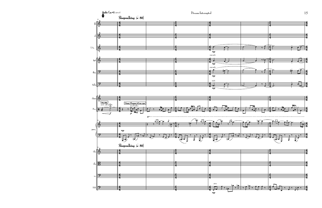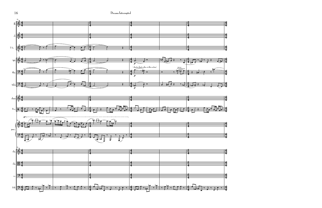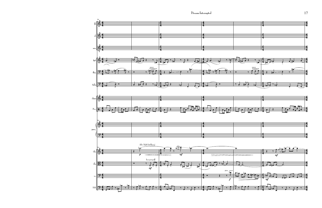Dreams Interrupted 17

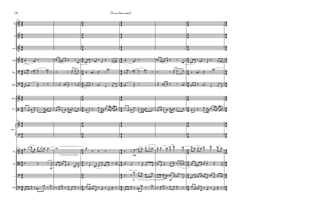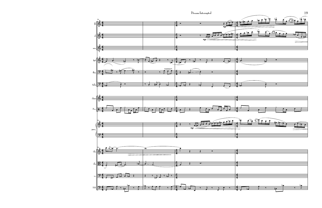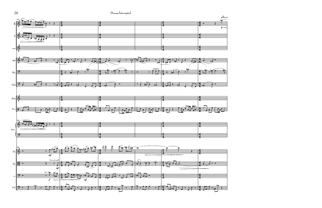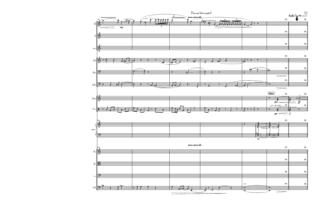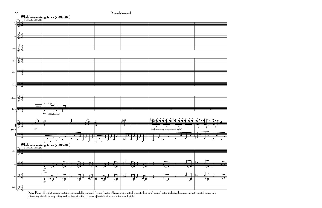

Note: Piano RH triplet passage contains some carefully composed "wrong" notes. Players are permitted to create their own"wrong" notes (including breaking the fast repeated chords into alternating chords) so long as they make a descent to the last chord of beat 4 and maintain the overall style.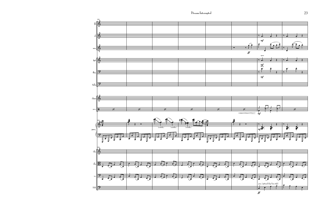$\begin{minipage}{.4\linewidth} \hspace*{-0.2cm} {\bf{D}reams\textcolor{red}{\bf{Interrupted}}} \end{minipage}$ 



23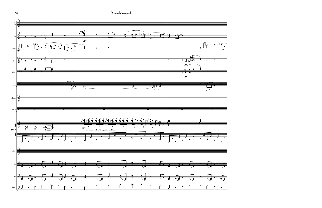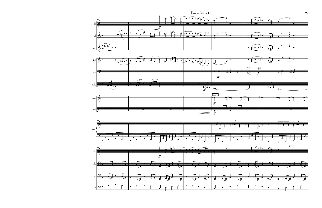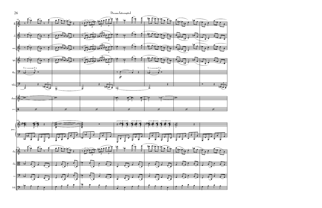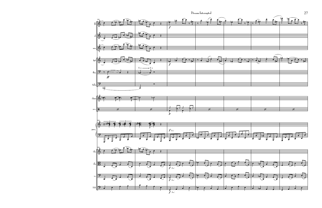Dreams Interrupted



![](_page_28_Figure_2.jpeg)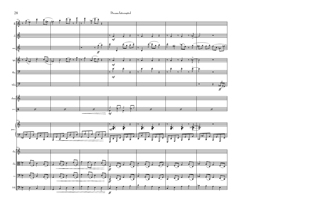![](_page_29_Figure_1.jpeg)

28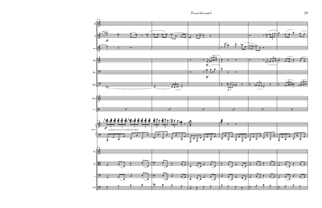![](_page_30_Figure_1.jpeg)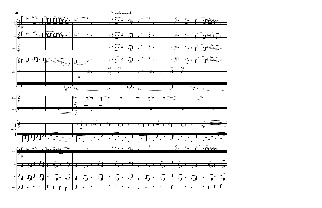![](_page_31_Figure_0.jpeg)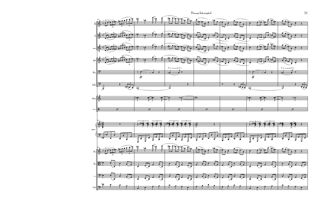Dreams Interrupted 31

![](_page_32_Figure_1.jpeg)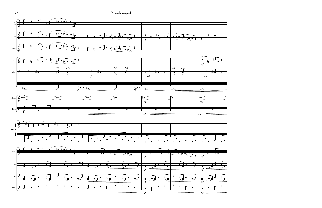![](_page_33_Figure_1.jpeg)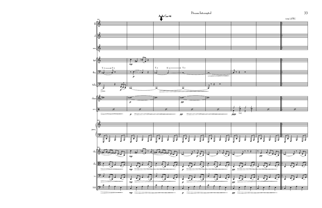![](_page_34_Figure_0.jpeg)

|  | ٠. |
|--|----|
|  |    |
|  |    |
|  |    |
|  |    |
|  |    |
|  |    |
|  |    |
|  |    |
|  |    |
|  |    |
|  |    |
|  |    |
|  | ٠  |
|  |    |
|  | ٠  |
|  |    |
|  |    |
|  |    |
|  |    |
|  |    |
|  |    |
|  |    |
|  |    |
|  |    |
|  |    |
|  |    |
|  |    |
|  | ٠  |
|  | ı. |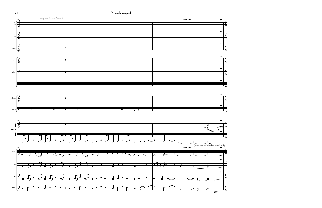![](_page_35_Figure_2.jpeg)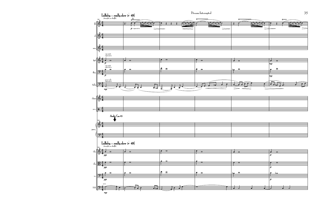![](_page_36_Figure_0.jpeg)

![](_page_36_Figure_1.jpeg)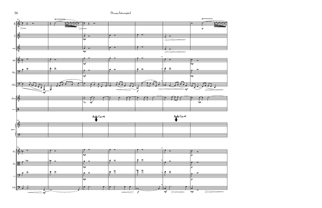36 Dreams Interrupted

![](_page_37_Figure_1.jpeg)